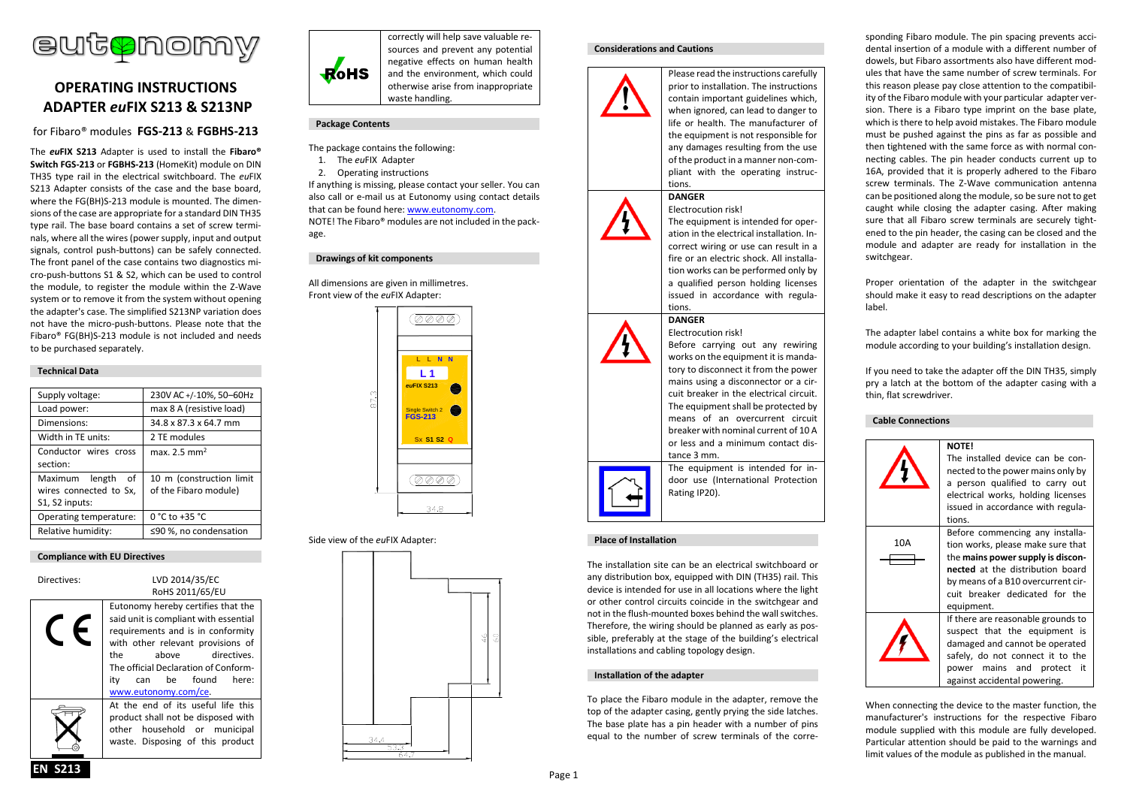

# **OPERATING INSTRUCTIONS ADAPTER** *eu***FIX S213 & S213NP**

# for Fibaro® modules **FGS-213** & **FGBHS-213**

The *eu***FIX S213** Adapter is used to install the **Fibaro® Switch FGS-213** or **FGBHS-213** (HomeKit) module on DIN TH35 type rail in the electrical switchboard. The *eu*FIX S213 Adapter consists of the case and the base board, where the FG(BH)S-213 module is mounted. The dimensions of the case are appropriate for a standard DIN TH35 type rail. The base board contains a set of screw terminals, where all the wires (power supply, input and output signals, control push-buttons) can be safely connected. The front panel of the case contains two diagnostics micro-push-buttons S1 & S2, which can be used to control the module, to register the module within the Z-Wave system or to remove it from the system without opening the adapter's case. The simplified S213NP variation does not have the micro-push-buttons. Please note that the Fibaro® FG(BH)S-213 module is not included and needs to be purchased separately.

## **Technical Data**

| Supply voltage:        | 230V AC +/-10%, 50-60Hz  |
|------------------------|--------------------------|
| Load power:            | max 8 A (resistive load) |
| Dimensions:            | 34.8 x 87.3 x 64.7 mm    |
| Width in TE units:     | 2 TE modules             |
| Conductor wires cross  | max. $2.5 \text{ mm}^2$  |
| section:               |                          |
| Maximum length<br>of   | 10 m (construction limit |
| wires connected to Sx, | of the Fibaro module)    |
| S1, S2 inputs:         |                          |
| Operating temperature: | 0 °C to +35 °C           |
| Relative humidity:     | ≤90 %, no condensation   |

## **Compliance with EU Directives**

| Directives: | LVD 2014/35/EC<br>RoHS 2011/65/EU                                                                                                                                                                                                                                                       |  |
|-------------|-----------------------------------------------------------------------------------------------------------------------------------------------------------------------------------------------------------------------------------------------------------------------------------------|--|
|             | Eutonomy hereby certifies that the<br>said unit is compliant with essential<br>requirements and is in conformity<br>with other relevant provisions of<br>the<br>directives.<br>above<br>The official Declaration of Conform-<br>be found<br>itv<br>here:<br>can<br>www.eutonomy.com/ce. |  |
|             | At the end of its useful life this<br>product shall not be disposed with<br>other household or municipal<br>waste. Disposing of this product                                                                                                                                            |  |



correctly will help save valuable resources and prevent any potential negative effects on human health and the environment, which could otherwise arise from inappropriate waste handling.

## **Package Contents**

- The package contains the following:
- 1. The *eu*FIX Adapter
- 2. Operating instructions

If anything is missing, please contact your seller. You can also call or e-mail us at Eutonomy using contact details that can be found here: [www.eutonomy.com.](http://www.eutonomy.com/) NOTE! The Fibaro® modules are not included in the package.

## **Drawings of kit components**

All dimensions are given in millimetres. Front view of the *eu*FIX Adapter:



## Side view of the *eu*FIX Adapter:



## **Considerations and Cautions**



Please read the instructions carefully prior to installation. The instructions contain important guidelines which, when ignored, can lead to danger to life or health. The manufacturer of the equipment is not responsible for any damages resulting from the use of the product in a manner non-compliant with the operating instructions.

# Electrocution risk!

**DANGER**

The equipment is intended for operation in the electrical installation. Incorrect wiring or use can result in a fire or an electric shock. All installation works can be performed only by a qualified person holding licenses issued in accordance with regulations.

Before carrying out any rewiring works on the equipment it is mandatory to disconnect it from the power mains using a disconnector or a circuit breaker in the electrical circuit. The equipment shall be protected by means of an overcurrent circuit breaker with nominal current of 10 A or less and a minimum contact dis-

The equipment is intended for indoor use (International Protection

### **DANGER** Electrocution risk!





Rating IP20).

tance 3 mm.

# **Place of Installation**

The installation site can be an electrical switchboard or any distribution box, equipped with DIN (TH35) rail. This device is intended for use in all locations where the light or other control circuits coincide in the switchgear and not in the flush-mounted boxes behind the wall switches. Therefore, the wiring should be planned as early as possible, preferably at the stage of the building's electrical installations and cabling topology design.

## **Installation of the adapter**

To place the Fibaro module in the adapter, remove the top of the adapter casing, gently prying the side latches. The base plate has a pin header with a number of pins equal to the number of screw terminals of the corresponding Fibaro module. The pin spacing prevents accidental insertion of a module with a different number of dowels, but Fibaro assortments also have different modules that have the same number of screw terminals. For this reason please pay close attention to the compatibility of the Fibaro module with your particular adapter version. There is a Fibaro type imprint on the base plate, which is there to help avoid mistakes. The Fibaro module must be pushed against the pins as far as possible and then tightened with the same force as with normal connecting cables. The pin header conducts current up to 16A, provided that it is properly adhered to the Fibaro screw terminals. The Z-Wave communication antenna can be positioned along the module, so be sure not to get caught while closing the adapter casing. After making sure that all Fibaro screw terminals are securely tightened to the pin header, the casing can be closed and the module and adapter are ready for installation in the switchgear.

Proper orientation of the adapter in the switchgear should make it easy to read descriptions on the adapter label.

The adapter label contains a white box for marking the module according to your building's installation design.

If you need to take the adapter off the DIN TH35, simply pry a latch at the bottom of the adapter casing with a thin, flat screwdriver.

## **Cable Connections**



When connecting the device to the master function, the manufacturer's instructions for the respective Fibaro module supplied with this module are fully developed. Particular attention should be paid to the warnings and limit values of the module as published in the manual.